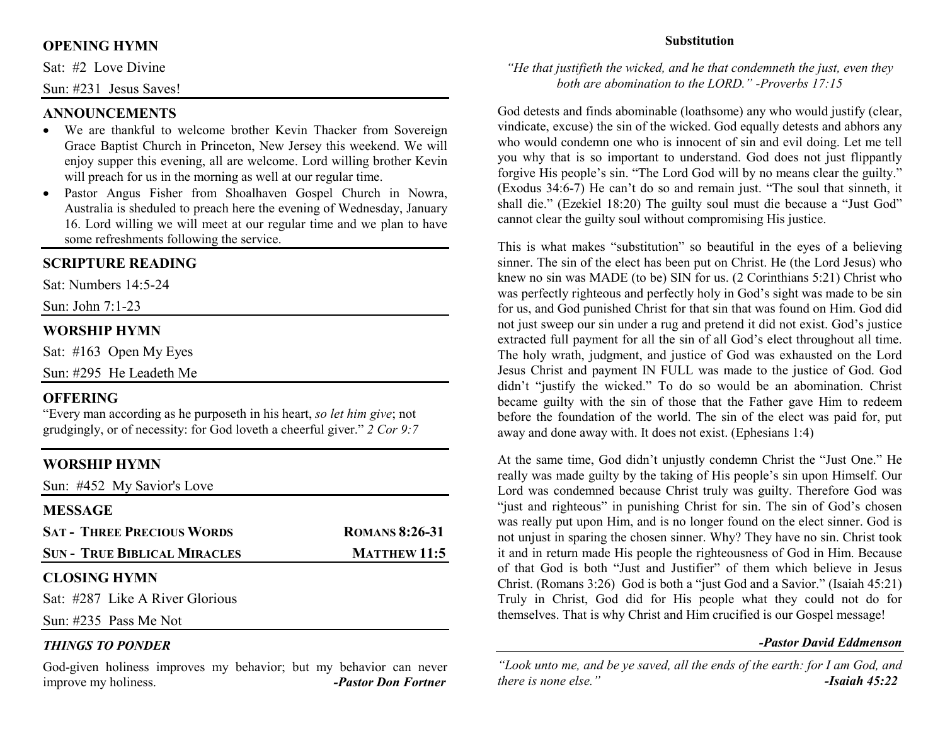# **OPENING HYMN**

Sat: #2 Love Divine

Sun: #231 Jesus Saves!

# **ANNOUNCEMENTS**

- We are thankful to welcome brother Kevin Thacker from Sovereign Grace Baptist Church in Princeton, New Jersey this weekend. We will enjoy supper this evening, all are welcome. Lord willing brother Kevin will preach for us in the morning as well at our regular time.
- Pastor Angus Fisher from Shoalhaven Gospel Church in Nowra, •Australia is sheduled to preach here the evening of Wednesday, January 16. Lord willing we will meet at our regular time and we plan to have some refreshments following the service.

# **SCRIPTURE READING**

Sat: Numbers 14:5-24

Sun: John 7:1-23

# **WORSHIP HYMN**

Sat: #163 Open My Eyes

Sun: #295 He Leadeth Me

# **OFFERING**

 "Every man according as he purposeth in his heart, *so let him give*; not grudgingly, or of necessity: for God loveth a cheerful giver." *2 Cor 9:7*

# **WORSHIP HYMN**

Sun: #452 My Savior's Love

| <b>MESSAGE</b>                      |                       |
|-------------------------------------|-----------------------|
| <b>SAT - THREE PRECIOUS WORDS</b>   | <b>ROMANS 8:26-31</b> |
| <b>SUN - TRUE BIBLICAL MIRACLES</b> | <b>MATTHEW 11:5</b>   |
| <b>CLOSING HYMN</b>                 |                       |
|                                     |                       |

Sat: #287 Like A River Glorious

Sun: #235 Pass Me Not

#### *THINGS TO PONDER*

 God-given holiness improves my behavior; but my behavior can never improve my holiness. *-Pastor Don Fortner*

### **Substitution**

# *"He that justifieth the wicked, and he that condemneth the just, even they both are abomination to the LORD." -Proverbs 17:15*

God detests and finds abominable (loathsome) any who would justify (clear, vindicate, excuse) the sin of the wicked. God equally detests and abhors any who would condemn one who is innocent of sin and evil doing. Let me tell you why that is so important to understand. God does not just flippantly forgive His people's sin. "The Lord God will by no means clear the guilty." (Exodus 34:6-7) He can't do so and remain just. "The soul that sinneth, it shall die." (Ezekiel 18:20) The guilty soul must die because a "Just God" cannot clear the guilty soul without compromising His justice.

This is what makes "substitution" so beautiful in the eyes of a believing sinner. The sin of the elect has been put on Christ. He (the Lord Jesus) who knew no sin was MADE (to be) SIN for us. (2 Corinthians 5:21) Christ who was perfectly righteous and perfectly holy in God's sight was made to be sin for us, and God punished Christ for that sin that was found on Him. God did not just sweep our sin under a rug and pretend it did not exist. God's justice extracted full payment for all the sin of all God's elect throughout all time. The holy wrath, judgment, and justice of God was exhausted on the Lord Jesus Christ and payment IN FULL was made to the justice of God. God didn't "justify the wicked." To do so would be an abomination. Christ became guilty with the sin of those that the Father gave Him to redeem before the foundation of the world. The sin of the elect was paid for, put away and done away with. It does not exist. (Ephesians 1:4)

At the same time, God didn't unjustly condemn Christ the "Just One." He really was made guilty by the taking of His people's sin upon Himself. Our Lord was condemned because Christ truly was guilty. Therefore God was "just and righteous" in punishing Christ for sin. The sin of God's chosen was really put upon Him, and is no longer found on the elect sinner. God is not unjust in sparing the chosen sinner. Why? They have no sin. Christ took it and in return made His people the righteousness of God in Him. Because of that God is both "Just and Justifier" of them which believe in Jesus Christ. (Romans 3:26) God is both a "just God and a Savior." (Isaiah 45:21) Truly in Christ, God did for His people what they could not do for themselves. That is why Christ and Him crucified is our Gospel message!

#### *-Pastor David Eddmenson*

*"Look unto me, and be ye saved, all the ends of the earth: for I am God, and there is none else."-Isaiah 45:22*